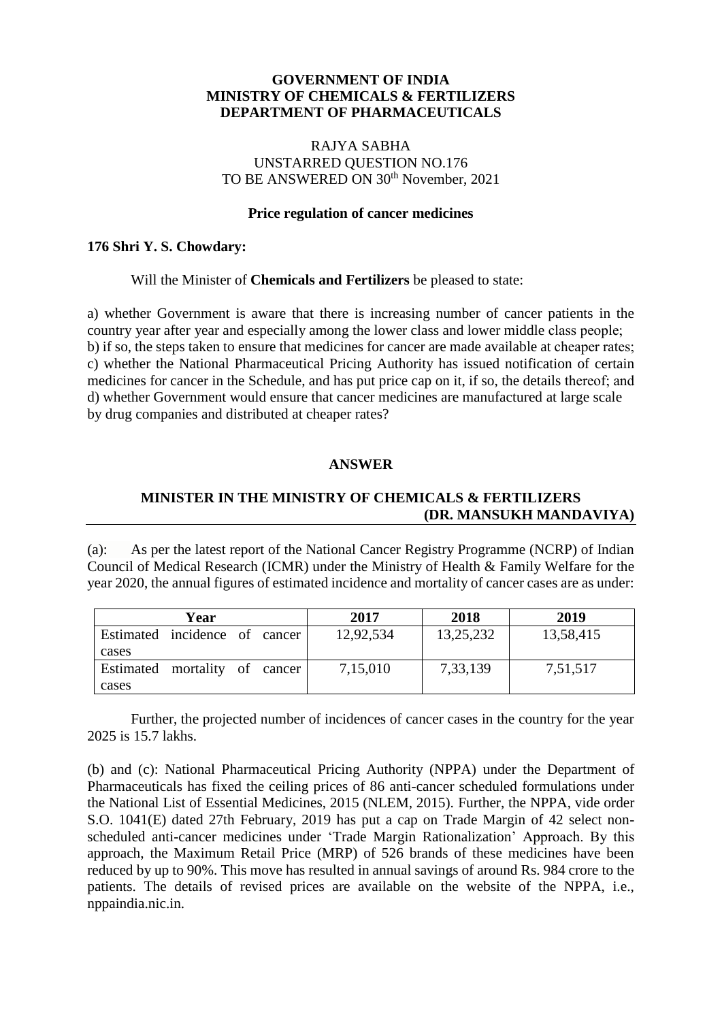## **GOVERNMENT OF INDIA MINISTRY OF CHEMICALS & FERTILIZERS DEPARTMENT OF PHARMACEUTICALS**

### RAJYA SABHA UNSTARRED QUESTION NO.176 TO BE ANSWERED ON 30<sup>th</sup> November, 2021

#### **Price regulation of cancer medicines**

### **176 Shri Y. S. Chowdary:**

### Will the Minister of **Chemicals and Fertilizers** be pleased to state:

a) whether Government is aware that there is increasing number of cancer patients in the country year after year and especially among the lower class and lower middle class people; b) if so, the steps taken to ensure that medicines for cancer are made available at cheaper rates; c) whether the National Pharmaceutical Pricing Authority has issued notification of certain medicines for cancer in the Schedule, and has put price cap on it, if so, the details thereof; and d) whether Government would ensure that cancer medicines are manufactured at large scale by drug companies and distributed at cheaper rates?

### **ANSWER**

# **MINISTER IN THE MINISTRY OF CHEMICALS & FERTILIZERS (DR. MANSUKH MANDAVIYA)**

(a): As per the latest report of the National Cancer Registry Programme (NCRP) of Indian Council of Medical Research (ICMR) under the Ministry of Health & Family Welfare for the year 2020, the annual figures of estimated incidence and mortality of cancer cases are as under:

|       | Year                          |  | 2017      | 2018      | 2019      |
|-------|-------------------------------|--|-----------|-----------|-----------|
|       | Estimated incidence of cancer |  | 12,92,534 | 13,25,232 | 13,58,415 |
| cases |                               |  |           |           |           |
|       | Estimated mortality of cancer |  | 7,15,010  | 7,33,139  | 7,51,517  |
| cases |                               |  |           |           |           |

Further, the projected number of incidences of cancer cases in the country for the year 2025 is 15.7 lakhs.

(b) and (c): National Pharmaceutical Pricing Authority (NPPA) under the Department of Pharmaceuticals has fixed the ceiling prices of 86 anti-cancer scheduled formulations under the National List of Essential Medicines, 2015 (NLEM, 2015). Further, the NPPA, vide order S.O. 1041(E) dated 27th February, 2019 has put a cap on Trade Margin of 42 select nonscheduled anti-cancer medicines under 'Trade Margin Rationalization' Approach. By this approach, the Maximum Retail Price (MRP) of 526 brands of these medicines have been reduced by up to 90%. This move has resulted in annual savings of around Rs. 984 crore to the patients. The details of revised prices are available on the website of the NPPA, i.e., nppaindia.nic.in.